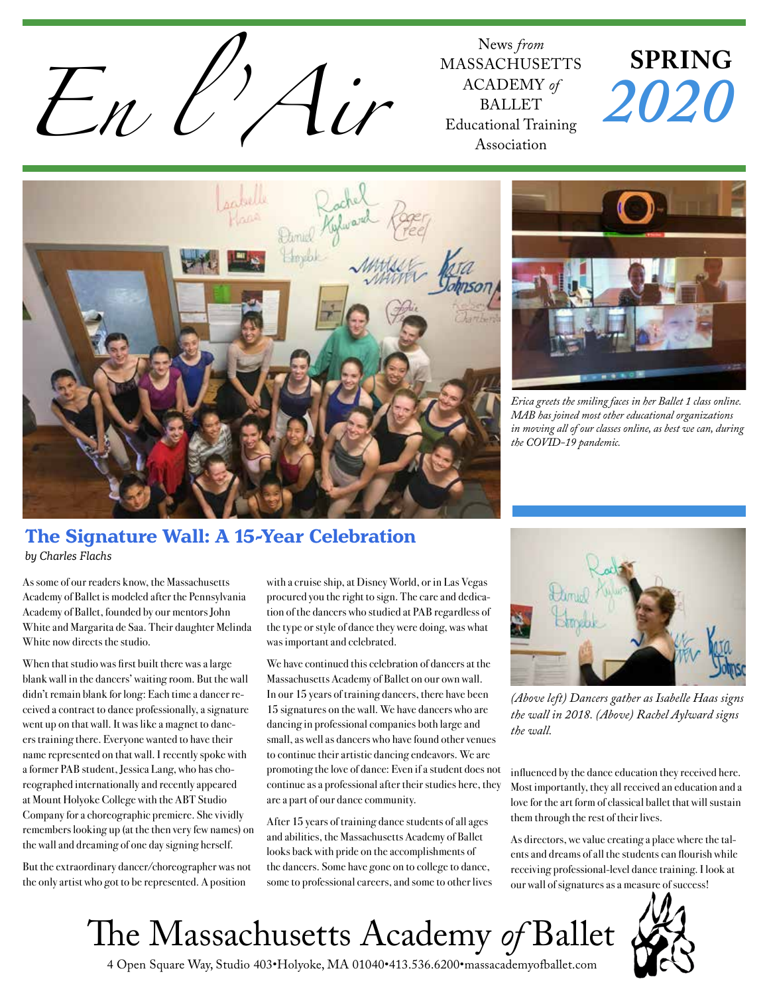

MASSACHUSETTS ACADEMY *of* BALLET Educational Training Association

# **SPRING** *2020*



#### **The Signature Wall: A 15-Year Celebration** *by Charles Flachs*

As some of our readers know, the Massachusetts Academy of Ballet is modeled after the Pennsylvania Academy of Ballet, founded by our mentors John White and Margarita de Saa. Their daughter Melinda White now directs the studio.

When that studio was first built there was a large blank wall in the dancers' waiting room. But the wall didn't remain blank for long: Each time a dancer received a contract to dance professionally, a signature went up on that wall. It was like a magnet to dancers training there. Everyone wanted to have their name represented on that wall. I recently spoke with a former PAB student, Jessica Lang, who has choreographed internationally and recently appeared at Mount Holyoke College with the ABT Studio Company for a choreographic premiere. She vividly remembers looking up (at the then very few names) on the wall and dreaming of one day signing herself.

But the extraordinary dancer/choreographer was not the only artist who got to be represented. A position

with a cruise ship, at Disney World, or in Las Vegas procured you the right to sign. The care and dedication of the dancers who studied at PAB regardless of the type or style of dance they were doing, was what was important and celebrated.

We have continued this celebration of dancers at the Massachusetts Academy of Ballet on our own wall. In our 15 years of training dancers, there have been 15 signatures on the wall. We have dancers who are dancing in professional companies both large and small, as well as dancers who have found other venues to continue their artistic dancing endeavors. We are promoting the love of dance: Even if a student does not continue as a professional after their studies here, they are a part of our dance community.

After 15 years of training dance students of all ages and abilities, the Massachusetts Academy of Ballet looks back with pride on the accomplishments of the dancers. Some have gone on to college to dance, some to professional careers, and some to other lives



*Erica greets the smiling faces in her Ballet 1 class online. MAB has joined most other educational organizations in moving all of our classes online, as best we can, during the COVID-19 pandemic.*



*(Above left) Dancers gather as Isabelle Haas signs the wall in 2018. (Above) Rachel Aylward signs the wall.* 

influenced by the dance education they received here. Most importantly, they all received an education and a love for the art form of classical ballet that will sustain them through the rest of their lives.

As directors, we value creating a place where the talents and dreams of all the students can flourish while receiving professional-level dance training. I look at our wall of signatures as a measure of success!





4 Open Square Way, Studio 403•Holyoke, MA 01040•413.536.6200•massacademyofballet.com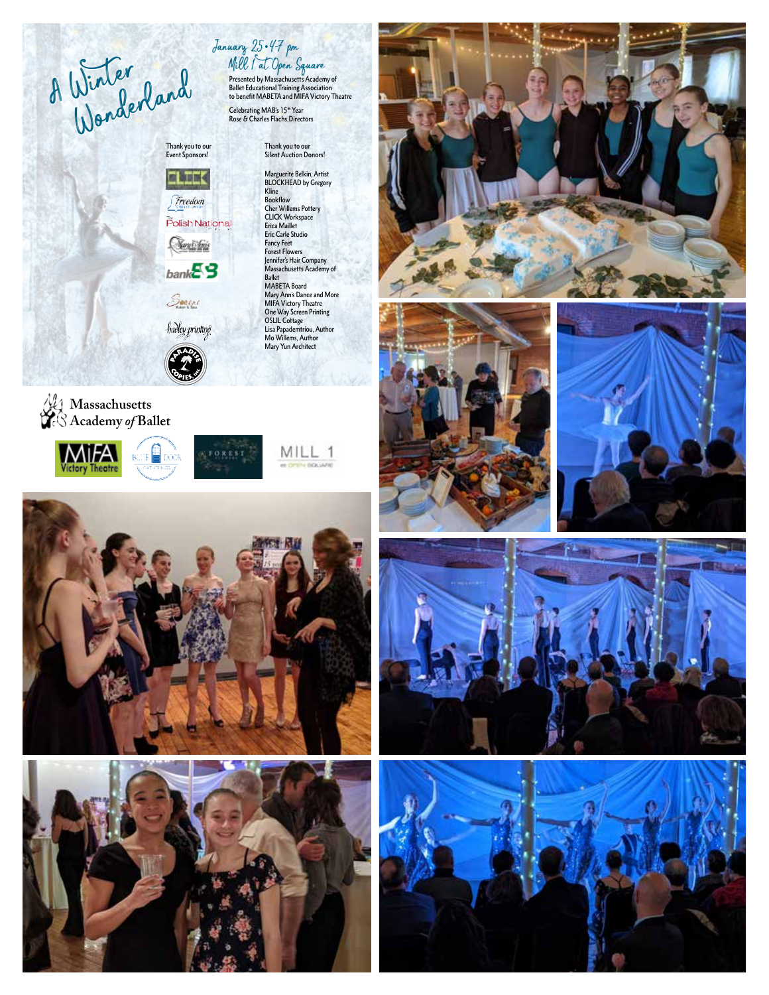A Winter Wonderland Presented by Massachusetts Academy of

**Massachusetts Academy** *of* **Ballet**

**MiFA** 

**Victory Theatre** 

**CLECK** Freedom Polish National <u>Sexistini</u>

 $bankE3$ 

Serene

**REAL** 

**BUJE** DOCR

hadley printing

**JOREST** 

Thank you to our Event Sponsors!

Thank you to our Silent Auction Donors! Marguerite Belkin, Artist BLOCKHEAD by Gregory

January 25•4-7 pm

Kline Bookflow Cher Willems Pottery CLICK Workspace Erica Maillet Eric Carle Studio Fancy Feet Forest Flowers Jennifer's Hair Company Massachusetts Academy of Ballet MABETA Board Mary Ann's Dance and More MIFA Victory Theatre One Way Screen Printing OSLIL Cottage Lisa Papademtriou, Author Mo Willems, Author Mary Yun Architect

MILL 1

TH BOLIARE

Ballet Educational Training Association to benefit MABETA and MIFA Victory Theatre

Celebrating MAB's 15th Year<br>Rose & Charles Flachs,Directors

Mill 1 at Open Square













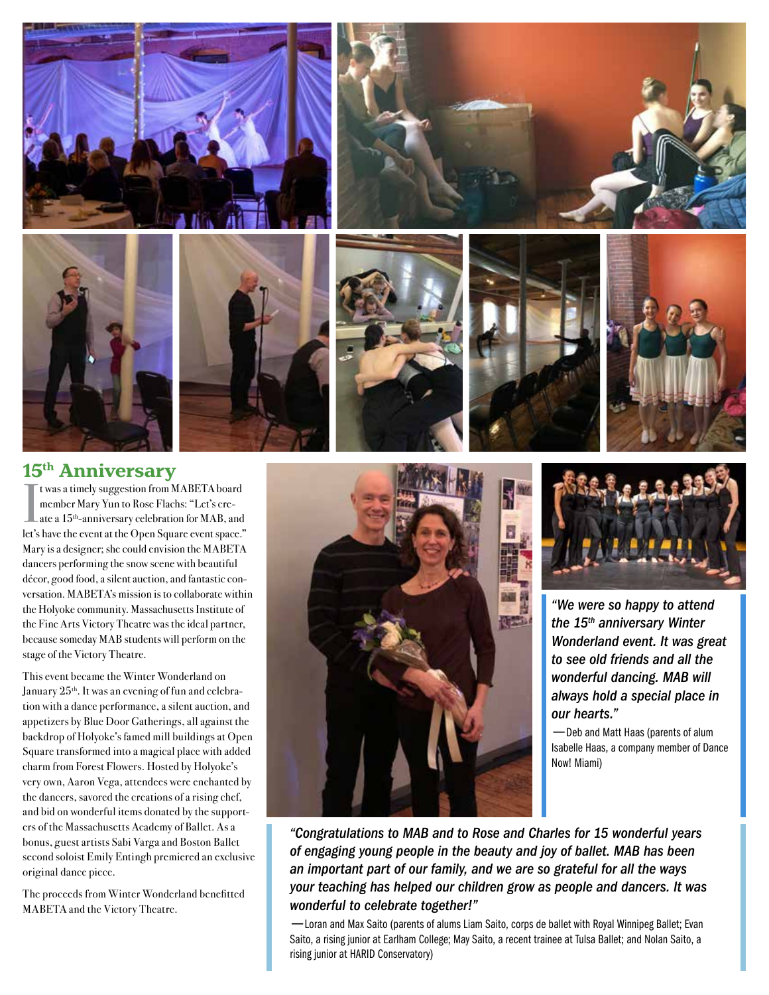













### **15th Anniversary**

I was a timely suggestion from MABETA board<br>
member Mary Yun to Rose Flachs: "Let's cre-<br>
ate a 15<sup>th</sup>-anniversary celebration for MAB, and<br>
and the suggestion for a finite suggestion for MAB, and member Mary Yun to Rose Flachs: "Let's create a 15<sup>th</sup>-anniversary celebration for MAB, and let's have the event at the Open Square event space." Mary is a designer; she could envision the MABETA dancers performing the snow scene with beautiful décor, good food, a silent auction, and fantastic conversation. MABETA's mission is to collaborate within the Holyoke community. Massachusetts Institute of the Fine Arts Victory Theatre was the ideal partner, because someday MAB students will perform on the stage of the Victory Theatre.

This event became the Winter Wonderland on January  $25<sup>th</sup>$ . It was an evening of fun and celebration with a dance performance, a silent auction, and appetizers by Blue Door Gatherings, all against the backdrop of Holyoke's famed mill buildings at Open Square transformed into a magical place with added charm from Forest Flowers. Hosted by Holyoke's very own, Aaron Vega, attendees were enchanted by the dancers, savored the creations of a rising chef, and bid on wonderful items donated by the supporters of the Massachusetts Academy of Ballet. As a bonus, guest artists Sabi Varga and Boston Ballet second soloist Emily Entingh premiered an exclusive original dance piece.

The proceeds from Winter Wonderland benefitted MABETA and the Victory Theatre.





*"We were so happy to attend the 15th anniversary Winter Wonderland event. It was great to see old friends and all the wonderful dancing. MAB will always hold a special place in our hearts."*

—Deb and Matt Haas (parents of alum Isabelle Haas, a company member of Dance Now! Miami)

*"Congratulations to MAB and to Rose and Charles for 15 wonderful years of engaging young people in the beauty and joy of ballet. MAB has been an important part of our family, and we are so grateful for all the ways your teaching has helped our children grow as people and dancers. It was wonderful to celebrate together!"*

—Loran and Max Saito (parents of alums Liam Saito, corps de ballet with Royal Winnipeg Ballet; Evan Saito, a rising junior at Earlham College; May Saito, a recent trainee at Tulsa Ballet; and Nolan Saito, a rising junior at HARID Conservatory)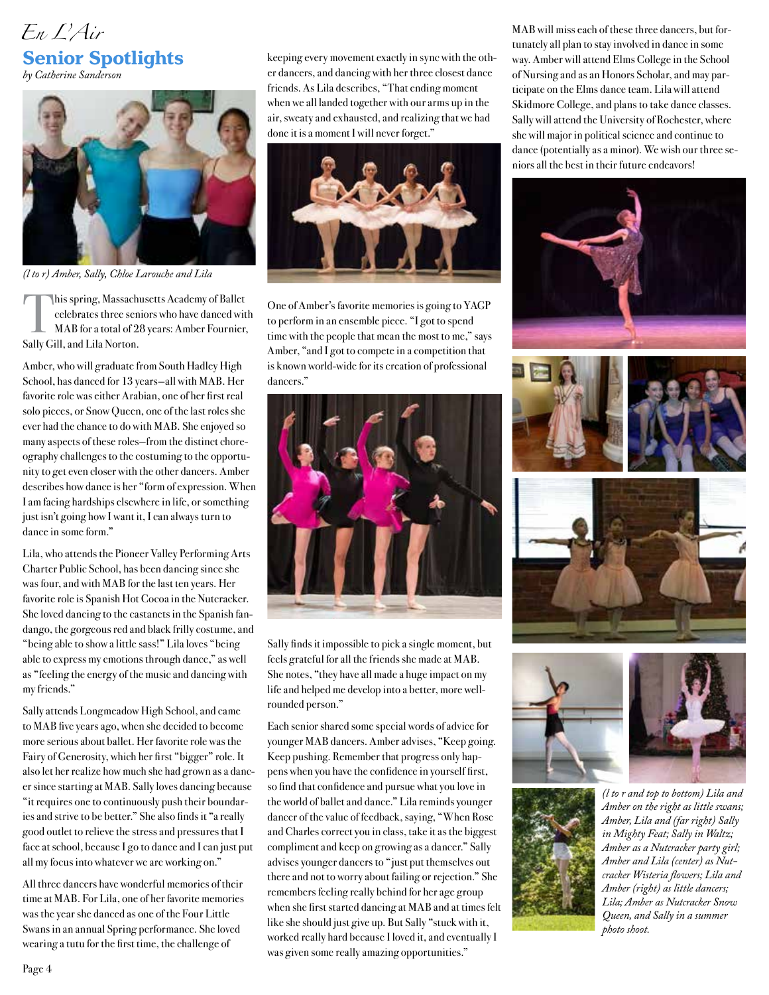

*by Catherine Sanderson*



*(l to r) Amber, Sally, Chloe Larouche and Lila*

This spring, Massachusetts Academy of Ballet celebrates three seniors who have danced with MAB for a total of 28 years: Amber Fournier, Sally Gill, and Lila Norton.

Amber, who will graduate from South Hadley High School, has danced for 13 years—all with MAB. Her favorite role was either Arabian, one of her first real solo pieces, or Snow Queen, one of the last roles she ever had the chance to do with MAB. She enjoyed so many aspects of these roles—from the distinct choreography challenges to the costuming to the opportunity to get even closer with the other dancers. Amber describes how dance is her "form of expression. When I am facing hardships elsewhere in life, or something just isn't going how I want it, I can always turn to dance in some form."

Lila, who attends the Pioneer Valley Performing Arts Charter Public School, has been dancing since she was four, and with MAB for the last ten years. Her favorite role is Spanish Hot Cocoa in the Nutcracker. She loved dancing to the castanets in the Spanish fandango, the gorgeous red and black frilly costume, and "being able to show a little sass!" Lila loves "being able to express my emotions through dance," as well as "feeling the energy of the music and dancing with my friends."

Sally attends Longmeadow High School, and came to MAB five years ago, when she decided to become more serious about ballet. Her favorite role was the Fairy of Generosity, which her first "bigger" role. It also let her realize how much she had grown as a dancer since starting at MAB. Sally loves dancing because "it requires one to continuously push their boundaries and strive to be better." She also finds it "a really good outlet to relieve the stress and pressures that I face at school, because I go to dance and I can just put all my focus into whatever we are working on."

All three dancers have wonderful memories of their time at MAB. For Lila, one of her favorite memories was the year she danced as one of the Four Little Swans in an annual Spring performance. She loved wearing a tutu for the first time, the challenge of

keeping every movement exactly in sync with the other dancers, and dancing with her three closest dance friends. As Lila describes, "That ending moment when we all landed together with our arms up in the air, sweaty and exhausted, and realizing that we had done it is a moment I will never forget."



One of Amber's favorite memories is going to YAGP to perform in an ensemble piece. "I got to spend time with the people that mean the most to me," says Amber, "and I got to compete in a competition that is known world-wide for its creation of professional dancers."



Sally finds it impossible to pick a single moment, but feels grateful for all the friends she made at MAB. She notes, "they have all made a huge impact on my life and helped me develop into a better, more wellrounded person."

Each senior shared some special words of advice for younger MAB dancers. Amber advises, "Keep going. Keep pushing. Remember that progress only happens when you have the confidence in yourself first, so find that confidence and pursue what you love in the world of ballet and dance." Lila reminds younger dancer of the value of feedback, saying, "When Rose and Charles correct you in class, take it as the biggest compliment and keep on growing as a dancer." Sally advises younger dancers to "just put themselves out there and not to worry about failing or rejection." She remembers feeling really behind for her age group when she first started dancing at MAB and at times felt like she should just give up. But Sally "stuck with it, worked really hard because I loved it, and eventually I was given some really amazing opportunities."

MAB will miss each of these three dancers, but fortunately all plan to stay involved in dance in some way. Amber will attend Elms College in the School of Nursing and as an Honors Scholar, and may participate on the Elms dance team. Lila will attend Skidmore College, and plans to take dance classes. Sally will attend the University of Rochester, where she will major in political science and continue to dance (potentially as a minor). We wish our three seniors all the best in their future endeavors!









*Amber on the right as little swans; Amber, Lila and (far right) Sally in Mighty Feat; Sally in Waltz; Amber as a Nutcracker party girl; Amber and Lila (center) as Nutcracker Wisteria flowers; Lila and Amber (right) as little dancers; Lila; Amber as Nutcracker Snow Queen, and Sally in a summer photo shoot.*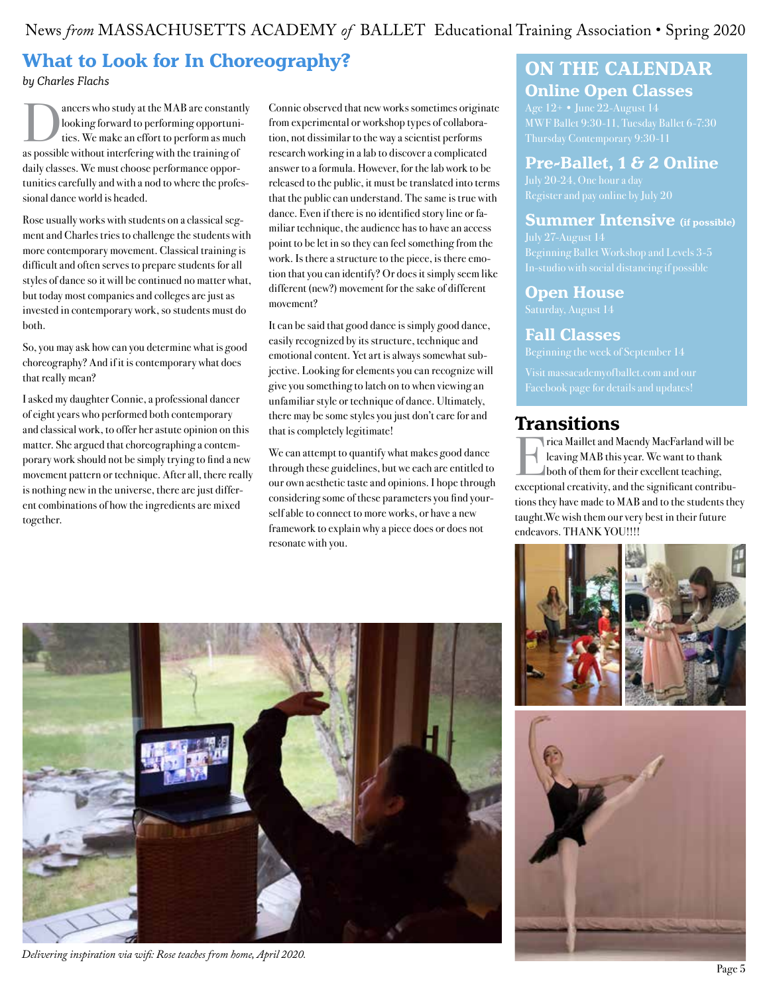News *from* MASSACHUSETTS ACADEMY *of* BALLET Educational Training Association • Spring 2020

## **What to Look for In Choreography?**

*by Charles Flachs*

ancers who study at the MAB are constantly<br>looking forward to performing opportuni-<br>ties. We make an effort to perform as much looking forward to performing opportunias possible without interfering with the training of daily classes. We must choose performance opportunities carefully and with a nod to where the professional dance world is headed.

Rose usually works with students on a classical segment and Charles tries to challenge the students with more contemporary movement. Classical training is difficult and often serves to prepare students for all styles of dance so it will be continued no matter what, but today most companies and colleges are just as invested in contemporary work, so students must do both.

So, you may ask how can you determine what is good choreography? And if it is contemporary what does that really mean?

I asked my daughter Connie, a professional dancer of eight years who performed both contemporary and classical work, to offer her astute opinion on this matter. She argued that choreographing a contemporary work should not be simply trying to find a new movement pattern or technique. After all, there really is nothing new in the universe, there are just different combinations of how the ingredients are mixed together.

Connie observed that new works sometimes originate from experimental or workshop types of collaboration, not dissimilar to the way a scientist performs research working in a lab to discover a complicated answer to a formula. However, for the lab work to be released to the public, it must be translated into terms that the public can understand. The same is true with dance. Even if there is no identified story line or familiar technique, the audience has to have an access point to be let in so they can feel something from the work. Is there a structure to the piece, is there emotion that you can identify? Or does it simply seem like different (new?) movement for the sake of different movement?

It can be said that good dance is simply good dance, easily recognized by its structure, technique and emotional content. Yet art is always somewhat subjective. Looking for elements you can recognize will give you something to latch on to when viewing an unfamiliar style or technique of dance. Ultimately, there may be some styles you just don't care for and that is completely legitimate!

We can attempt to quantify what makes good dance through these guidelines, but we each are entitled to our own aesthetic taste and opinions. I hope through considering some of these parameters you find yourself able to connect to more works, or have a new framework to explain why a piece does or does not resonate with you.

## **ON THE CALENDAR Online Open Classes**

Age 12+ • June 22-August 14

#### **Pre-Ballet, 1 & 2 Online**

#### **Summer Intensive (if possible)**

#### **Open House**

#### **Fall Classes**

## **Transitions**

Erica Maillet and Maendy MacFarland will be leaving MAB this year. We want to thank both of them for their excellent teaching, exceptional creativity, and the significant contributions they have made to MAB and to the students they taught.We wish them our very best in their future endeavors. THANK YOU!!!!





*Delivering inspiration via wifi: Rose teaches from home, April 2020.*